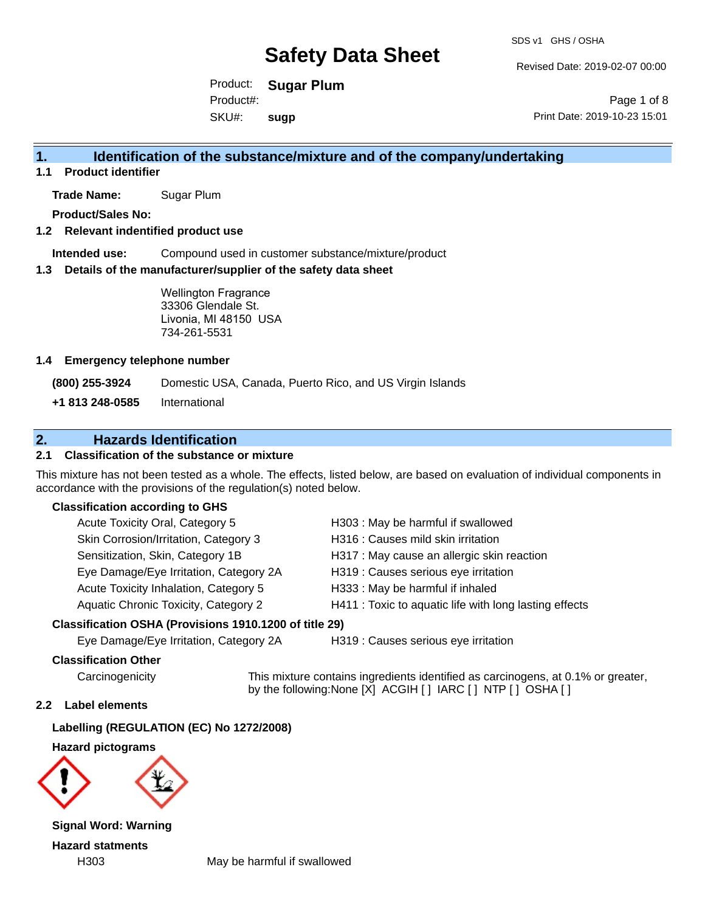Revised Date: 2019-02-07 00:00

Product: **Sugar Plum** SKU#: Product#: **sugp**

Page 1 of 8 Print Date: 2019-10-23 15:01

### **1. Identification of the substance/mixture and of the company/undertaking**

**1.1 Product identifier**

**Trade Name:** Sugar Plum

**Product/Sales No:**

#### **1.2 Relevant indentified product use**

**Intended use:** Compound used in customer substance/mixture/product

#### **1.3 Details of the manufacturer/supplier of the safety data sheet**

Wellington Fragrance 33306 Glendale St. Livonia, MI 48150 USA 734-261-5531

#### **1.4 Emergency telephone number**

**(800) 255-3924** Domestic USA, Canada, Puerto Rico, and US Virgin Islands

**+1 813 248-0585** International

### **2. Hazards Identification**

#### **2.1 Classification of the substance or mixture**

This mixture has not been tested as a whole. The effects, listed below, are based on evaluation of individual components in accordance with the provisions of the regulation(s) noted below.

#### **Classification according to GHS**

| <b>Acute Toxicity Oral, Category 5</b> | H303 : May be harmful if swallowed                     |
|----------------------------------------|--------------------------------------------------------|
| Skin Corrosion/Irritation, Category 3  | H316 : Causes mild skin irritation                     |
| Sensitization, Skin, Category 1B       | H317 : May cause an allergic skin reaction             |
| Eye Damage/Eye Irritation, Category 2A | H319 : Causes serious eye irritation                   |
| Acute Toxicity Inhalation, Category 5  | H333: May be harmful if inhaled                        |
| Aquatic Chronic Toxicity, Category 2   | H411 : Toxic to aquatic life with long lasting effects |

#### **Classification OSHA (Provisions 1910.1200 of title 29)**

Eye Damage/Eye Irritation, Category 2A H319 : Causes serious eye irritation

#### **Classification Other**

Carcinogenicity This mixture contains ingredients identified as carcinogens, at 0.1% or greater, by the following:None [X] ACGIH [ ] IARC [ ] NTP [ ] OSHA [ ]

#### **2.2 Label elements**

**Labelling (REGULATION (EC) No 1272/2008)**

**Hazard pictograms**



**Signal Word: Warning Hazard statments**

H303 May be harmful if swallowed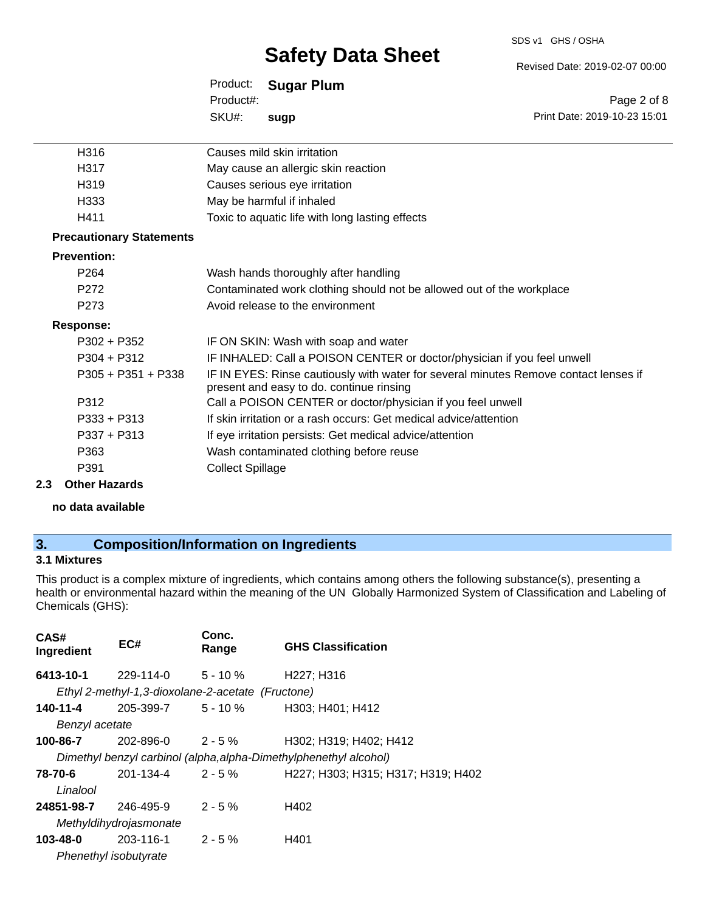#### SDS v1 GHS / OSHA

## **Safety Data Sheet**

Revised Date: 2019-02-07 00:00

|      | Product: Sugar Plum         |                              |
|------|-----------------------------|------------------------------|
|      | Product#:                   | Page 2 of 8                  |
|      | SKU#:<br>sugp               | Print Date: 2019-10-23 15:01 |
| H316 | Causes mild skin irritation |                              |

| 1 I J I U                       | Gauses Tillu SNITTIHLAUVIT                                                                                                       |
|---------------------------------|----------------------------------------------------------------------------------------------------------------------------------|
| H317                            | May cause an allergic skin reaction                                                                                              |
| H319                            | Causes serious eye irritation                                                                                                    |
| H333                            | May be harmful if inhaled                                                                                                        |
| H411                            | Toxic to aquatic life with long lasting effects                                                                                  |
| <b>Precautionary Statements</b> |                                                                                                                                  |
| <b>Prevention:</b>              |                                                                                                                                  |
| P <sub>264</sub>                | Wash hands thoroughly after handling                                                                                             |
| P272                            | Contaminated work clothing should not be allowed out of the workplace                                                            |
| P273                            | Avoid release to the environment                                                                                                 |
| <b>Response:</b>                |                                                                                                                                  |
| $P302 + P352$                   | IF ON SKIN: Wash with soap and water                                                                                             |
| $P304 + P312$                   | IF INHALED: Call a POISON CENTER or doctor/physician if you feel unwell                                                          |
| $P305 + P351 + P338$            | IF IN EYES: Rinse cautiously with water for several minutes Remove contact lenses if<br>present and easy to do. continue rinsing |
| P312                            | Call a POISON CENTER or doctor/physician if you feel unwell                                                                      |
| $P333 + P313$                   | If skin irritation or a rash occurs: Get medical advice/attention                                                                |
| P337 + P313                     | If eye irritation persists: Get medical advice/attention                                                                         |
| P363                            | Wash contaminated clothing before reuse                                                                                          |
| P391                            | <b>Collect Spillage</b>                                                                                                          |
|                                 |                                                                                                                                  |

#### **2.3 Other Hazards**

**no data available**

### **3. Composition/Information on Ingredients**

#### **3.1 Mixtures**

This product is a complex mixture of ingredients, which contains among others the following substance(s), presenting a health or environmental hazard within the meaning of the UN Globally Harmonized System of Classification and Labeling of Chemicals (GHS):

| CAS#<br>Ingredient          | EC#                                               | Conc.<br>Range | <b>GHS Classification</b>                                         |
|-----------------------------|---------------------------------------------------|----------------|-------------------------------------------------------------------|
| 6413-10-1                   | 229-114-0 5 - 10 % H227; H316                     |                |                                                                   |
|                             | Ethyl 2-methyl-1,3-dioxolane-2-acetate (Fructone) |                |                                                                   |
| 140-11-4                    | 205-399-7 5 - 10 %                                |                | H303; H401; H412                                                  |
| Benzyl acetate              |                                                   |                |                                                                   |
| 100-86-7                    | $202 - 896 - 0$ 2 - 5 %                           |                | H302; H319; H402; H412                                            |
|                             |                                                   |                | Dimethyl benzyl carbinol (alpha, alpha-Dimethylphenethyl alcohol) |
| 78-70-6                     | $201 - 134 - 4$ $2 - 5\%$                         |                | H227; H303; H315; H317; H319; H402                                |
| Linalool                    |                                                   |                |                                                                   |
| <b>24851-98-7</b> 246-495-9 |                                                   | $2 - 5 \%$     | H402                                                              |
|                             | Methyldihydrojasmonate                            |                |                                                                   |
| 103-48-0                    | $203-116-1$ 2 - 5 %                               |                | H401                                                              |
| Phenethyl isobutyrate       |                                                   |                |                                                                   |
|                             |                                                   |                |                                                                   |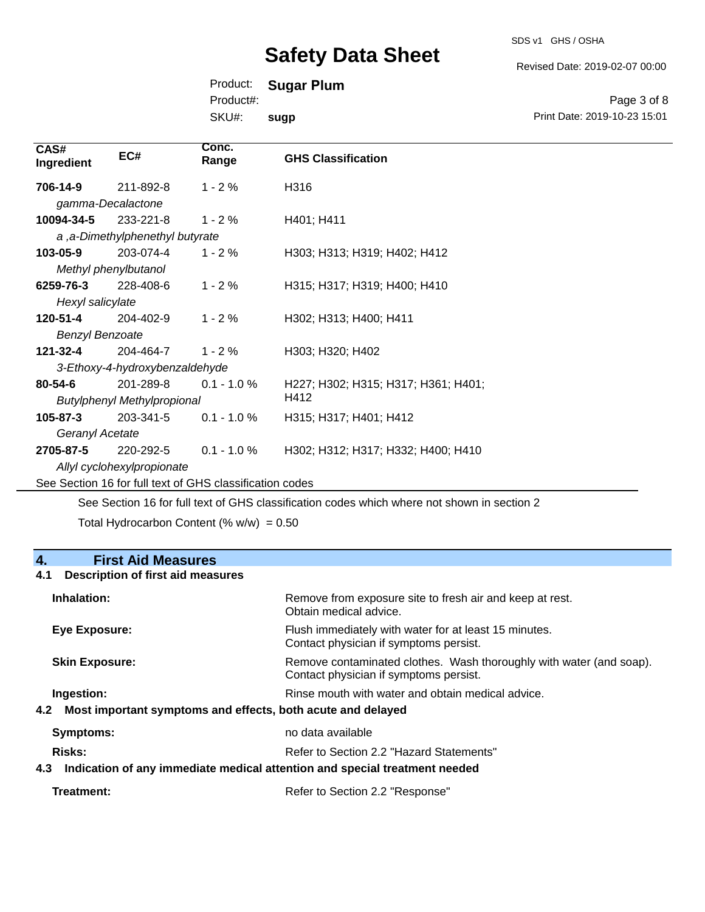Revised Date: 2019-02-07 00:00

Print Date: 2019-10-23 15:01

Page 3 of 8

Product: **Sugar Plum**

Product#:

SKU#: **sugp**

| CAS#<br>Ingredient     | EC#                                | Conc.<br>Range                                           | <b>GHS Classification</b>           |
|------------------------|------------------------------------|----------------------------------------------------------|-------------------------------------|
| 706-14-9               | 211-892-8                          | $1 - 2%$                                                 | H316                                |
| gamma-Decalactone      |                                    |                                                          |                                     |
| 10094-34-5             | 233-221-8                          | $1 - 2%$                                                 | H401; H411                          |
|                        | a, a-Dimethylphenethyl butyrate    |                                                          |                                     |
| 103-05-9               | 203-074-4                          | $1 - 2%$                                                 | H303; H313; H319; H402; H412        |
| Methyl phenylbutanol   |                                    |                                                          |                                     |
| 6259-76-3              | 228-408-6                          | $1 - 2%$                                                 | H315; H317; H319; H400; H410        |
| Hexyl salicylate       |                                    |                                                          |                                     |
| 120-51-4               | 204-402-9                          | $1 - 2%$                                                 | H302; H313; H400; H411              |
| <b>Benzyl Benzoate</b> |                                    |                                                          |                                     |
| 121-32-4               | 204-464-7                          | $1 - 2 \%$                                               | H303; H320; H402                    |
|                        | 3-Ethoxy-4-hydroxybenzaldehyde     |                                                          |                                     |
| 80-54-6                | 201-289-8                          | $0.1 - 1.0 %$                                            | H227; H302; H315; H317; H361; H401; |
|                        | <b>Butylphenyl Methylpropional</b> |                                                          | H412                                |
| 105-87-3               | 203-341-5                          | $0.1 - 1.0 %$                                            | H315; H317; H401; H412              |
| Geranyl Acetate        |                                    |                                                          |                                     |
| 2705-87-5              | 220-292-5                          | $0.1 - 1.0 %$                                            | H302; H312; H317; H332; H400; H410  |
|                        | Allyl cyclohexylpropionate         |                                                          |                                     |
|                        |                                    | See Section 16 for full text of GHS classification codes |                                     |

See Section 16 for full text of GHS classification codes which where not shown in section 2

Total Hydrocarbon Content (%  $w/w$ ) = 0.50

## **4. First Aid Measures 4.1 Description of first aid measures Inhalation:** Remove from exposure site to fresh air and keep at rest. Obtain medical advice. **Eye Exposure:** Flush immediately with water for at least 15 minutes. Contact physician if symptoms persist. **Skin Exposure: Remove contaminated clothes. Wash thoroughly with water (and soap).** Remove contaminated clothes. Wash thoroughly with water (and soap). Contact physician if symptoms persist. **Ingestion: Rinse mouth with water and obtain medical advice. In all of the state of the Ringestian Medical advice. 4.2 Most important symptoms and effects, both acute and delayed Symptoms:** no data available **Risks:** Risks: Refer to Section 2.2 "Hazard Statements" **4.3 Indication of any immediate medical attention and special treatment needed**

| Treatment: | Refer to Section 2.2 "Response" |  |
|------------|---------------------------------|--|
|------------|---------------------------------|--|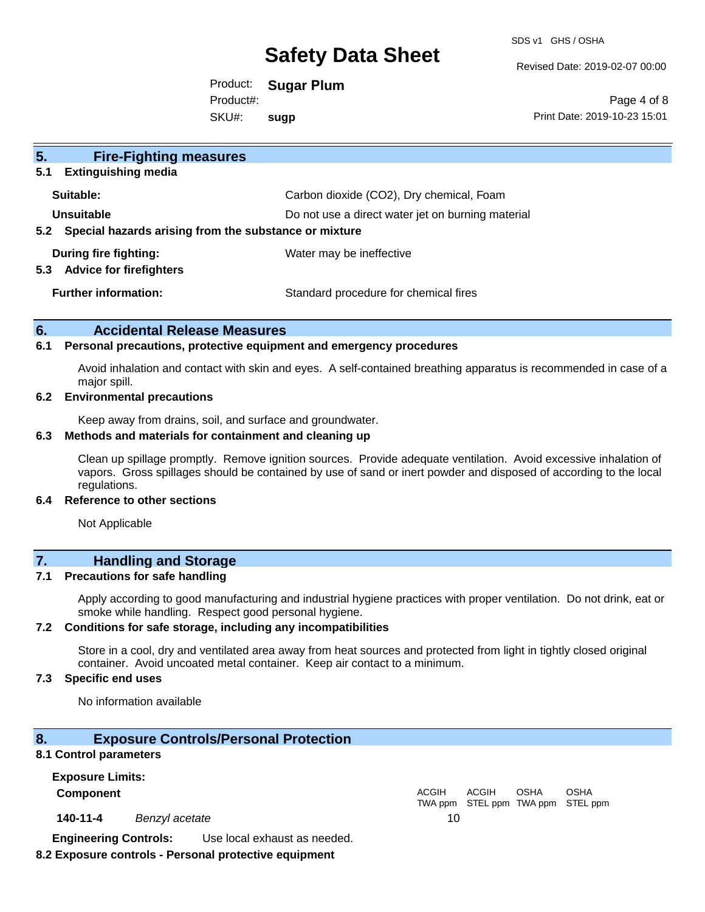SDS v1 GHS / OSHA

Revised Date: 2019-02-07 00:00

Product: **Sugar Plum** SKU#: Product#: **sugp**

Page 4 of 8 Print Date: 2019-10-23 15:01

| 5 <sub>1</sub><br><b>Fire-Fighting measures</b>                |                                                   |
|----------------------------------------------------------------|---------------------------------------------------|
| <b>Extinguishing media</b><br>5.1                              |                                                   |
| Suitable:                                                      | Carbon dioxide (CO2), Dry chemical, Foam          |
| Unsuitable                                                     | Do not use a direct water jet on burning material |
| Special hazards arising from the substance or mixture<br>5.2   |                                                   |
| During fire fighting:<br><b>Advice for firefighters</b><br>5.3 | Water may be ineffective                          |
| <b>Further information:</b>                                    | Standard procedure for chemical fires             |

#### **6. Accidental Release Measures**

#### **6.1 Personal precautions, protective equipment and emergency procedures**

Avoid inhalation and contact with skin and eyes. A self-contained breathing apparatus is recommended in case of a major spill.

#### **6.2 Environmental precautions**

Keep away from drains, soil, and surface and groundwater.

#### **6.3 Methods and materials for containment and cleaning up**

Clean up spillage promptly. Remove ignition sources. Provide adequate ventilation. Avoid excessive inhalation of vapors. Gross spillages should be contained by use of sand or inert powder and disposed of according to the local regulations.

#### **6.4 Reference to other sections**

Not Applicable

## **7. Handling and Storage**

#### **7.1 Precautions for safe handling**

Apply according to good manufacturing and industrial hygiene practices with proper ventilation. Do not drink, eat or smoke while handling. Respect good personal hygiene.

#### **7.2 Conditions for safe storage, including any incompatibilities**

Store in a cool, dry and ventilated area away from heat sources and protected from light in tightly closed original container. Avoid uncoated metal container. Keep air contact to a minimum.

#### **7.3 Specific end uses**

No information available

#### **8. Exposure Controls/Personal Protection**

#### **8.1 Control parameters**

**Exposure Limits: Component** ACGIH

**140-11-4** *Benzyl acetate* 10

**Engineering Controls:** Use local exhaust as needed.

#### **8.2 Exposure controls - Personal protective equipment**

TWA ppm STEL ppm TWA ppm STEL ppm ACGIH OSHA OSHA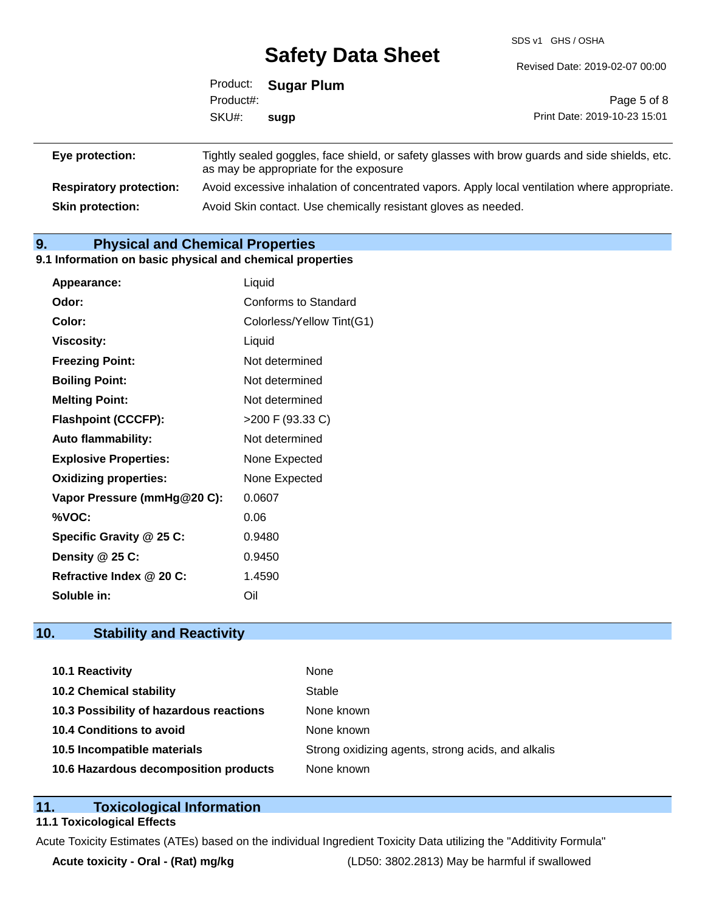SDS v1 GHS / OSHA

|                                | Product:<br>Product#: | <b>Sugar Plum</b>                                                                                                                        | Page 5 of 8                  |
|--------------------------------|-----------------------|------------------------------------------------------------------------------------------------------------------------------------------|------------------------------|
|                                | SKU#:                 | sugp                                                                                                                                     | Print Date: 2019-10-23 15:01 |
| Eye protection:                |                       | Tightly sealed goggles, face shield, or safety glasses with brow guards and side shields, etc.<br>as may be appropriate for the exposure |                              |
| <b>Respiratory protection:</b> |                       | Avoid excessive inhalation of concentrated vapors. Apply local ventilation where appropriate.                                            |                              |

**Skin protection:** Avoid Skin contact. Use chemically resistant gloves as needed.

## **9. Physical and Chemical Properties**

#### **9.1 Information on basic physical and chemical properties**

| Appearance:                  | Liquid                    |
|------------------------------|---------------------------|
| Odor:                        | Conforms to Standard      |
| Color:                       | Colorless/Yellow Tint(G1) |
| <b>Viscosity:</b>            | Liquid                    |
| <b>Freezing Point:</b>       | Not determined            |
| <b>Boiling Point:</b>        | Not determined            |
| <b>Melting Point:</b>        | Not determined            |
| <b>Flashpoint (CCCFP):</b>   | >200 F (93.33 C)          |
| <b>Auto flammability:</b>    | Not determined            |
| <b>Explosive Properties:</b> | None Expected             |
| <b>Oxidizing properties:</b> | None Expected             |
| Vapor Pressure (mmHg@20 C):  | 0.0607                    |
| %VOC:                        | 0.06                      |
| Specific Gravity @ 25 C:     | 0.9480                    |
| Density @ 25 C:              | 0.9450                    |
| Refractive Index @ 20 C:     | 1.4590                    |
| Soluble in:                  | Oil                       |

### **10. Stability and Reactivity**

| 10.1 Reactivity                         | None                                               |
|-----------------------------------------|----------------------------------------------------|
| <b>10.2 Chemical stability</b>          | Stable                                             |
| 10.3 Possibility of hazardous reactions | None known                                         |
| 10.4 Conditions to avoid                | None known                                         |
| 10.5 Incompatible materials             | Strong oxidizing agents, strong acids, and alkalis |
| 10.6 Hazardous decomposition products   | None known                                         |

#### **11. Toxicological Information**

#### **11.1 Toxicological Effects**

Acute Toxicity Estimates (ATEs) based on the individual Ingredient Toxicity Data utilizing the "Additivity Formula"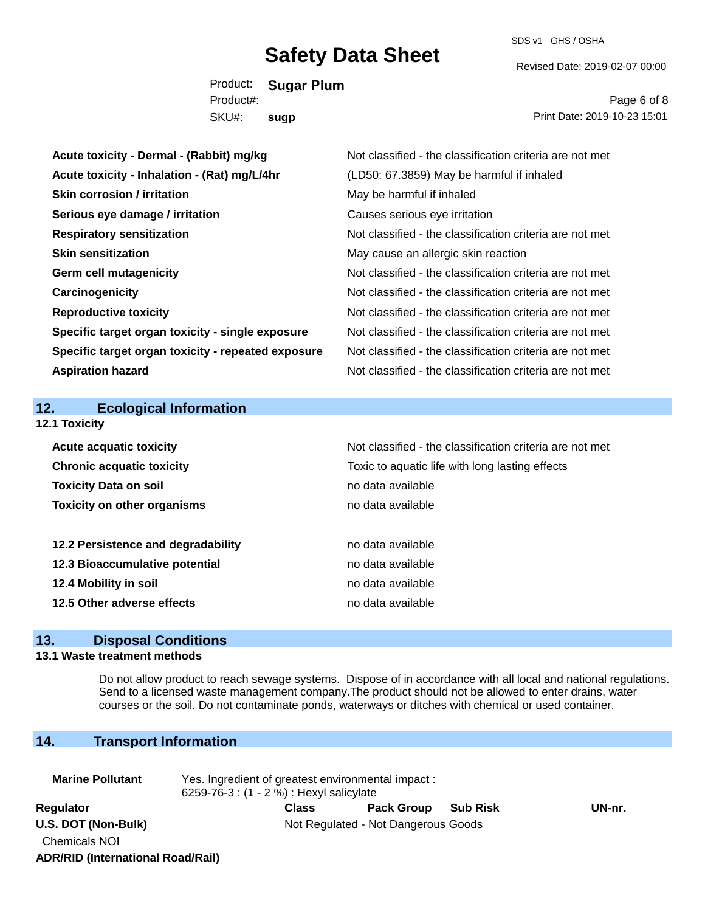SDS v1 GHS / OSHA

Revised Date: 2019-02-07 00:00

Product: **Sugar Plum** SKU#: Product#: **sugp**

Page 6 of 8 Print Date: 2019-10-23 15:01

| Acute toxicity - Dermal - (Rabbit) mg/kg           | Not classified - the classification criteria are not met |
|----------------------------------------------------|----------------------------------------------------------|
| Acute toxicity - Inhalation - (Rat) mg/L/4hr       | (LD50: 67.3859) May be harmful if inhaled                |
| <b>Skin corrosion / irritation</b>                 | May be harmful if inhaled                                |
| Serious eye damage / irritation                    | Causes serious eye irritation                            |
| <b>Respiratory sensitization</b>                   | Not classified - the classification criteria are not met |
| <b>Skin sensitization</b>                          | May cause an allergic skin reaction                      |
| <b>Germ cell mutagenicity</b>                      | Not classified - the classification criteria are not met |
| Carcinogenicity                                    | Not classified - the classification criteria are not met |
| <b>Reproductive toxicity</b>                       | Not classified - the classification criteria are not met |
| Specific target organ toxicity - single exposure   | Not classified - the classification criteria are not met |
| Specific target organ toxicity - repeated exposure | Not classified - the classification criteria are not met |
| <b>Aspiration hazard</b>                           | Not classified - the classification criteria are not met |
|                                                    |                                                          |
|                                                    |                                                          |
| 12.<br><b>Ecological Information</b>               |                                                          |
| 12.1 Toxicity                                      |                                                          |
| <b>Acute acquatic toxicity</b>                     | Not classified - the classification criteria are not met |
| <b>Chronic acquatic toxicity</b>                   | Toxic to aquatic life with long lasting effects          |
| <b>Toxicity Data on soil</b>                       | no data available                                        |
| <b>Toxicity on other organisms</b>                 | no data available                                        |
|                                                    |                                                          |
| 12.2 Persistence and degradability                 | no data available                                        |
| 12.3 Bioaccumulative potential                     | no data available                                        |
| 12.4 Mobility in soil                              | no data available                                        |
| 12.5 Other adverse effects                         | no data available                                        |

#### **13. Disposal Conditions**

#### **13.1 Waste treatment methods**

Do not allow product to reach sewage systems. Dispose of in accordance with all local and national regulations. Send to a licensed waste management company.The product should not be allowed to enter drains, water courses or the soil. Do not contaminate ponds, waterways or ditches with chemical or used container.

### **14. Transport Information**

| <b>Marine Pollutant</b>                  | Yes. Ingredient of greatest environmental impact:<br>6259-76-3 : (1 - 2 %) : Hexyl salicylate |              |                                     |                 |        |
|------------------------------------------|-----------------------------------------------------------------------------------------------|--------------|-------------------------------------|-----------------|--------|
| Regulator                                |                                                                                               | <b>Class</b> | <b>Pack Group</b>                   | <b>Sub Risk</b> | UN-nr. |
| U.S. DOT (Non-Bulk)                      |                                                                                               |              | Not Regulated - Not Dangerous Goods |                 |        |
| Chemicals NOI                            |                                                                                               |              |                                     |                 |        |
| <b>ADR/RID (International Road/Rail)</b> |                                                                                               |              |                                     |                 |        |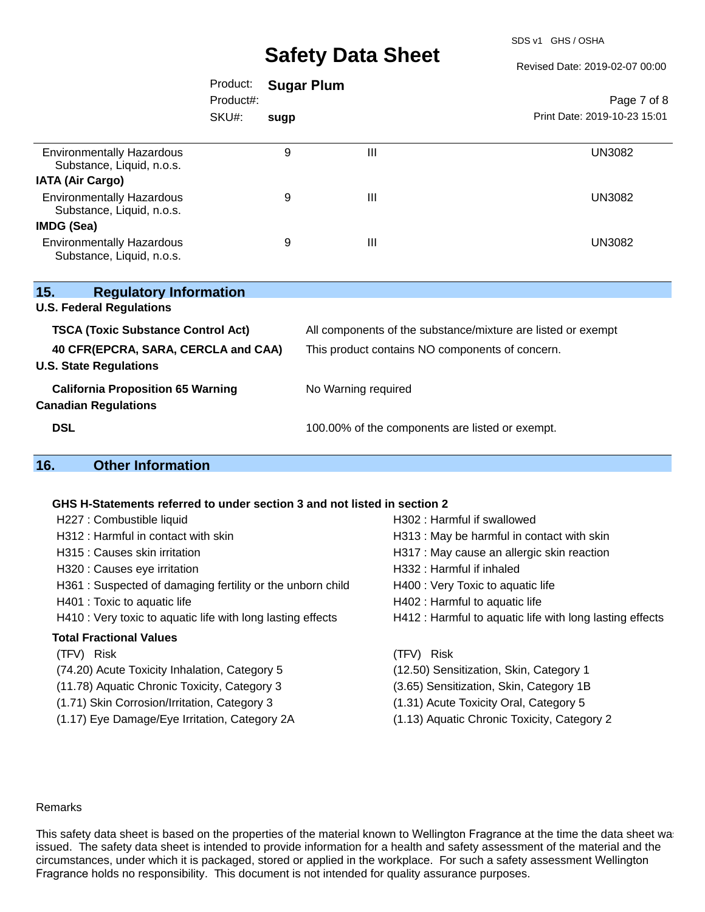SDS v1 GHS / OSHA

Revised Date: 2019-02-07 00:00

|                                                               | Product:<br>Product#:<br>SKU#: | <b>Sugar Plum</b> |   | Page 7 of 8<br>Print Date: 2019-10-23 15:01 |
|---------------------------------------------------------------|--------------------------------|-------------------|---|---------------------------------------------|
|                                                               |                                | sugp              |   |                                             |
|                                                               |                                |                   |   |                                             |
| <b>Environmentally Hazardous</b><br>Substance, Liquid, n.o.s. |                                | 9                 | Ш | <b>UN3082</b>                               |
| <b>IATA (Air Cargo)</b>                                       |                                |                   |   |                                             |
| <b>Environmentally Hazardous</b><br>Substance, Liquid, n.o.s. |                                | 9                 | Ш | <b>UN3082</b>                               |
| <b>IMDG (Sea)</b>                                             |                                |                   |   |                                             |
| <b>Environmentally Hazardous</b><br>Substance, Liquid, n.o.s. |                                | 9                 | Ш | <b>UN3082</b>                               |
|                                                               |                                |                   |   |                                             |

| <b>Regulatory Information</b><br>15.                                    |                                                              |
|-------------------------------------------------------------------------|--------------------------------------------------------------|
| <b>U.S. Federal Regulations</b>                                         |                                                              |
| <b>TSCA (Toxic Substance Control Act)</b>                               | All components of the substance/mixture are listed or exempt |
| 40 CFR(EPCRA, SARA, CERCLA and CAA)<br><b>U.S. State Regulations</b>    | This product contains NO components of concern.              |
| <b>California Proposition 65 Warning</b><br><b>Canadian Regulations</b> | No Warning required                                          |
| <b>DSL</b>                                                              | 100.00% of the components are listed or exempt.              |

### **16. Other Information**

#### **GHS H-Statements referred to under section 3 and not listed in section 2**

| H227 : Combustible liquid                                   | H302: Harmful if swallowed                               |
|-------------------------------------------------------------|----------------------------------------------------------|
| H312 : Harmful in contact with skin                         | H313 : May be harmful in contact with skin               |
| H315 : Causes skin irritation                               | H317 : May cause an allergic skin reaction               |
| H320 : Causes eye irritation                                | H332: Harmful if inhaled                                 |
| H361 : Suspected of damaging fertility or the unborn child  | H400 : Very Toxic to aquatic life                        |
| H401 : Toxic to aquatic life                                | H402 : Harmful to aquatic life                           |
| H410 : Very toxic to aquatic life with long lasting effects | H412 : Harmful to aquatic life with long lasting effects |
| <b>Total Fractional Values</b>                              |                                                          |
| (TFV) Risk                                                  | (TFV) Risk                                               |
| (74.20) Acute Toxicity Inhalation, Category 5               | (12.50) Sensitization, Skin, Category 1                  |
| (11.78) Aquatic Chronic Toxicity, Category 3                | (3.65) Sensitization, Skin, Category 1B                  |
| (1.71) Skin Corrosion/Irritation, Category 3                | (1.31) Acute Toxicity Oral, Category 5                   |
| (1.17) Eye Damage/Eye Irritation, Category 2A               | (1.13) Aquatic Chronic Toxicity, Category 2              |
|                                                             |                                                          |

#### Remarks

This safety data sheet is based on the properties of the material known to Wellington Fragrance at the time the data sheet was issued. The safety data sheet is intended to provide information for a health and safety assessment of the material and the circumstances, under which it is packaged, stored or applied in the workplace. For such a safety assessment Wellington Fragrance holds no responsibility. This document is not intended for quality assurance purposes.